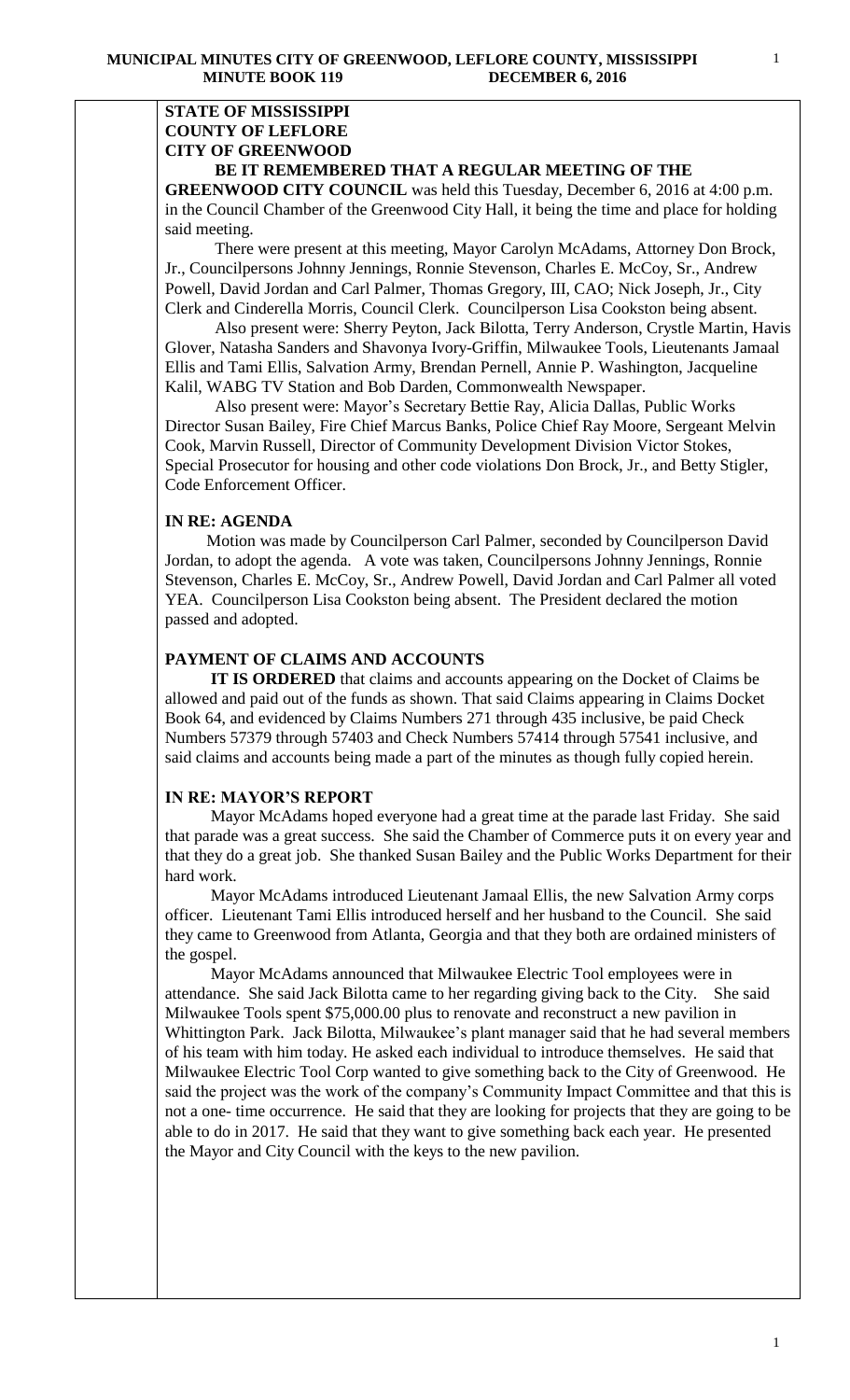### **STATE OF MISSISSIPPI COUNTY OF LEFLORE CITY OF GREENWOOD BE IT REMEMBERED THAT A REGULAR MEETING OF THE**

**GREENWOOD CITY COUNCIL** was held this Tuesday, December 6, 2016 at 4:00 p.m. in the Council Chamber of the Greenwood City Hall, it being the time and place for holding said meeting.

There were present at this meeting, Mayor Carolyn McAdams, Attorney Don Brock, Jr., Councilpersons Johnny Jennings, Ronnie Stevenson, Charles E. McCoy, Sr., Andrew Powell, David Jordan and Carl Palmer, Thomas Gregory, III, CAO; Nick Joseph, Jr., City Clerk and Cinderella Morris, Council Clerk. Councilperson Lisa Cookston being absent.

 Also present were: Sherry Peyton, Jack Bilotta, Terry Anderson, Crystle Martin, Havis Glover, Natasha Sanders and Shavonya Ivory-Griffin, Milwaukee Tools, Lieutenants Jamaal Ellis and Tami Ellis, Salvation Army, Brendan Pernell, Annie P. Washington, Jacqueline Kalil, WABG TV Station and Bob Darden, Commonwealth Newspaper.

 Also present were: Mayor's Secretary Bettie Ray, Alicia Dallas, Public Works Director Susan Bailey, Fire Chief Marcus Banks, Police Chief Ray Moore, Sergeant Melvin Cook, Marvin Russell, Director of Community Development Division Victor Stokes, Special Prosecutor for housing and other code violations Don Brock, Jr., and Betty Stigler, Code Enforcement Officer.

## **IN RE: AGENDA**

 Motion was made by Councilperson Carl Palmer, seconded by Councilperson David Jordan, to adopt the agenda. A vote was taken, Councilpersons Johnny Jennings, Ronnie Stevenson, Charles E. McCoy, Sr., Andrew Powell, David Jordan and Carl Palmer all voted YEA. Councilperson Lisa Cookston being absent. The President declared the motion passed and adopted.

# **PAYMENT OF CLAIMS AND ACCOUNTS**

 **IT IS ORDERED** that claims and accounts appearing on the Docket of Claims be allowed and paid out of the funds as shown. That said Claims appearing in Claims Docket Book 64, and evidenced by Claims Numbers 271 through 435 inclusive, be paid Check Numbers 57379 through 57403 and Check Numbers 57414 through 57541 inclusive, and said claims and accounts being made a part of the minutes as though fully copied herein.

## **IN RE: MAYOR'S REPORT**

 Mayor McAdams hoped everyone had a great time at the parade last Friday. She said that parade was a great success. She said the Chamber of Commerce puts it on every year and that they do a great job. She thanked Susan Bailey and the Public Works Department for their hard work.

 Mayor McAdams introduced Lieutenant Jamaal Ellis, the new Salvation Army corps officer. Lieutenant Tami Ellis introduced herself and her husband to the Council. She said they came to Greenwood from Atlanta, Georgia and that they both are ordained ministers of the gospel.

 Mayor McAdams announced that Milwaukee Electric Tool employees were in attendance. She said Jack Bilotta came to her regarding giving back to the City. She said Milwaukee Tools spent \$75,000.00 plus to renovate and reconstruct a new pavilion in Whittington Park. Jack Bilotta, Milwaukee's plant manager said that he had several members of his team with him today. He asked each individual to introduce themselves. He said that Milwaukee Electric Tool Corp wanted to give something back to the City of Greenwood. He said the project was the work of the company's Community Impact Committee and that this is not a one- time occurrence. He said that they are looking for projects that they are going to be able to do in 2017. He said that they want to give something back each year. He presented the Mayor and City Council with the keys to the new pavilion.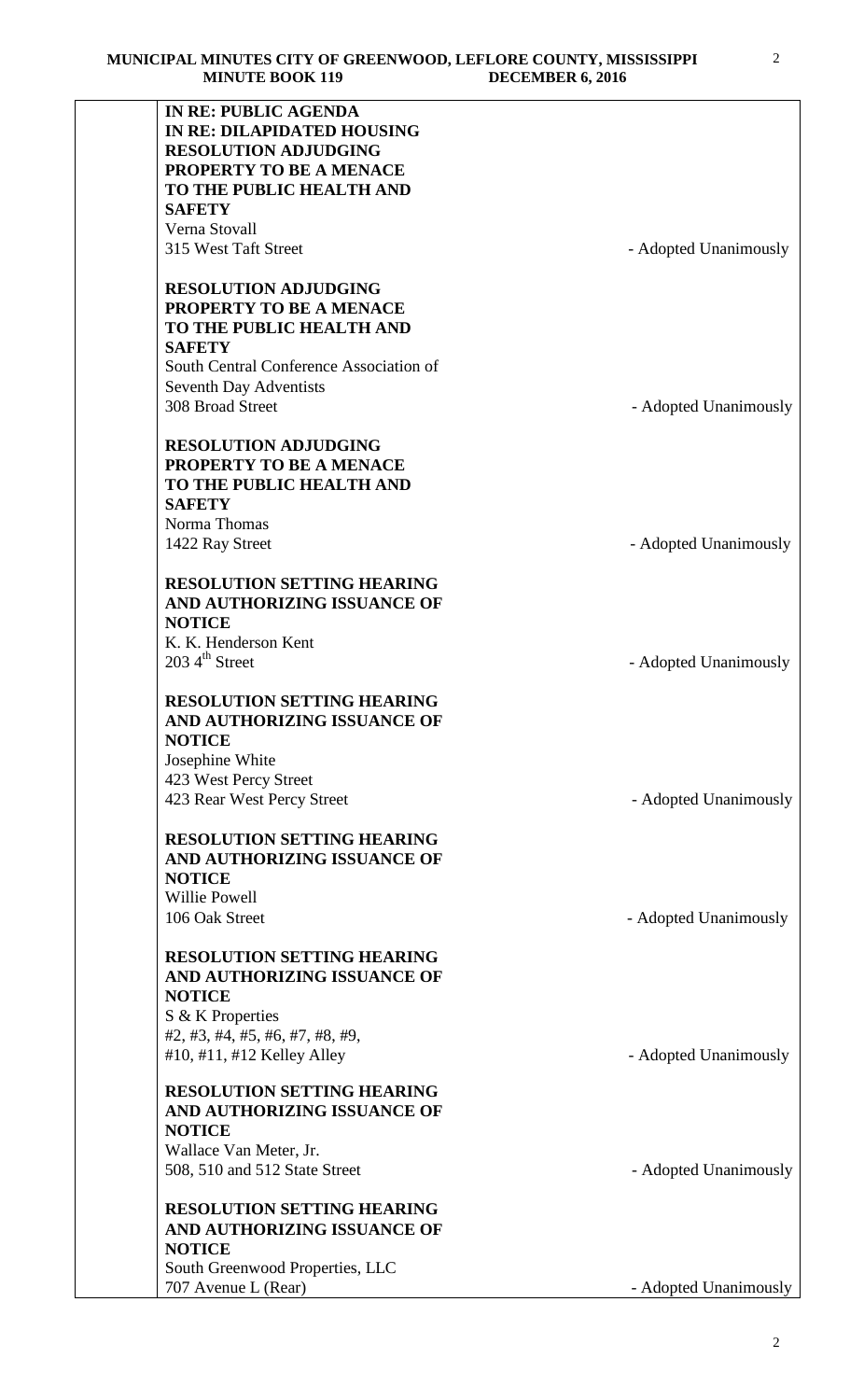| <b>IN RE: PUBLIC AGENDA</b>             |                       |
|-----------------------------------------|-----------------------|
| <b>IN RE: DILAPIDATED HOUSING</b>       |                       |
| <b>RESOLUTION ADJUDGING</b>             |                       |
| PROPERTY TO BE A MENACE                 |                       |
| TO THE PUBLIC HEALTH AND                |                       |
|                                         |                       |
| <b>SAFETY</b>                           |                       |
| Verna Stovall                           |                       |
| 315 West Taft Street                    | - Adopted Unanimously |
| <b>RESOLUTION ADJUDGING</b>             |                       |
| PROPERTY TO BE A MENACE                 |                       |
|                                         |                       |
| TO THE PUBLIC HEALTH AND                |                       |
| <b>SAFETY</b>                           |                       |
| South Central Conference Association of |                       |
| <b>Seventh Day Adventists</b>           |                       |
| 308 Broad Street                        | - Adopted Unanimously |
| <b>RESOLUTION ADJUDGING</b>             |                       |
| PROPERTY TO BE A MENACE                 |                       |
|                                         |                       |
| TO THE PUBLIC HEALTH AND                |                       |
| <b>SAFETY</b>                           |                       |
| Norma Thomas                            |                       |
| 1422 Ray Street                         | - Adopted Unanimously |
|                                         |                       |
| <b>RESOLUTION SETTING HEARING</b>       |                       |
| AND AUTHORIZING ISSUANCE OF             |                       |
| <b>NOTICE</b>                           |                       |
| K. K. Henderson Kent                    |                       |
| $203\,4^{\text{th}}$ Street             | - Adopted Unanimously |
|                                         |                       |
| <b>RESOLUTION SETTING HEARING</b>       |                       |
| AND AUTHORIZING ISSUANCE OF             |                       |
| <b>NOTICE</b>                           |                       |
|                                         |                       |
| Josephine White                         |                       |
| 423 West Percy Street                   |                       |
| 423 Rear West Percy Street              | - Adopted Unanimously |
| <b>RESOLUTION SETTING HEARING</b>       |                       |
| AND AUTHORIZING ISSUANCE OF             |                       |
| <b>NOTICE</b>                           |                       |
|                                         |                       |
| <b>Willie Powell</b>                    |                       |
| 106 Oak Street                          | - Adopted Unanimously |
| <b>RESOLUTION SETTING HEARING</b>       |                       |
| AND AUTHORIZING ISSUANCE OF             |                       |
| <b>NOTICE</b>                           |                       |
| S & K Properties                        |                       |
| #2, #3, #4, #5, #6, #7, #8, #9,         |                       |
|                                         |                       |
| #10, #11, #12 Kelley Alley              | - Adopted Unanimously |
| <b>RESOLUTION SETTING HEARING</b>       |                       |
| AND AUTHORIZING ISSUANCE OF             |                       |
| <b>NOTICE</b>                           |                       |
| Wallace Van Meter, Jr.                  |                       |
| 508, 510 and 512 State Street           | - Adopted Unanimously |
|                                         |                       |
| <b>RESOLUTION SETTING HEARING</b>       |                       |
| AND AUTHORIZING ISSUANCE OF             |                       |
| <b>NOTICE</b>                           |                       |
| South Greenwood Properties, LLC         |                       |
| 707 Avenue L (Rear)                     | - Adopted Unanimously |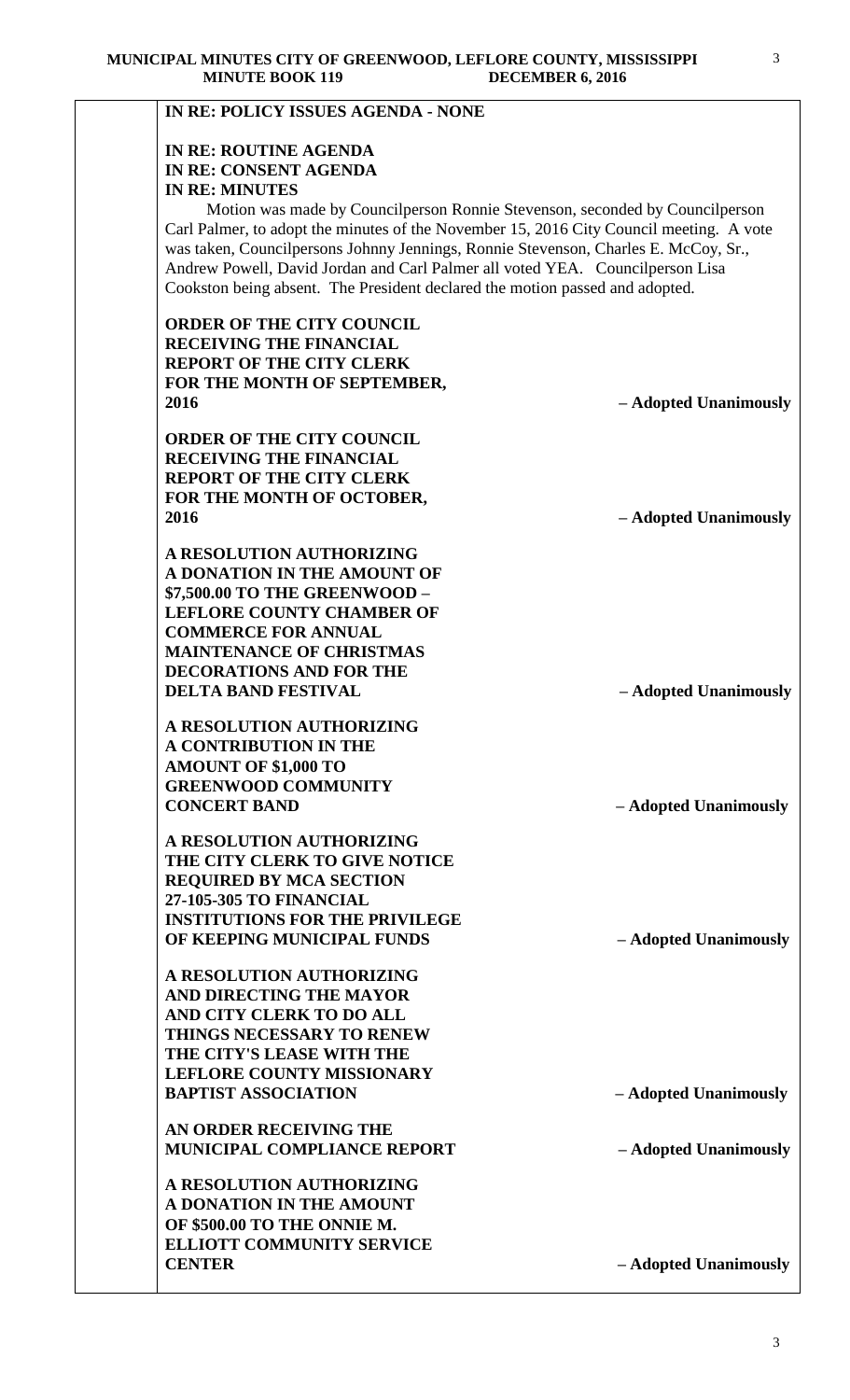| <b>IN RE: ROUTINE AGENDA</b><br>IN RE: CONSENT AGENDA                                   |                       |
|-----------------------------------------------------------------------------------------|-----------------------|
| <b>IN RE: MINUTES</b>                                                                   |                       |
| Motion was made by Council person Ronnie Stevenson, seconded by Council person          |                       |
| Carl Palmer, to adopt the minutes of the November 15, 2016 City Council meeting. A vote |                       |
| was taken, Councilpersons Johnny Jennings, Ronnie Stevenson, Charles E. McCoy, Sr.,     |                       |
| Andrew Powell, David Jordan and Carl Palmer all voted YEA. Councilperson Lisa           |                       |
| Cookston being absent. The President declared the motion passed and adopted.            |                       |
| <b>ORDER OF THE CITY COUNCIL</b>                                                        |                       |
| <b>RECEIVING THE FINANCIAL</b>                                                          |                       |
| <b>REPORT OF THE CITY CLERK</b>                                                         |                       |
| FOR THE MONTH OF SEPTEMBER,                                                             |                       |
| 2016                                                                                    | - Adopted Unanimously |
| <b>ORDER OF THE CITY COUNCIL</b>                                                        |                       |
| <b>RECEIVING THE FINANCIAL</b>                                                          |                       |
| <b>REPORT OF THE CITY CLERK</b>                                                         |                       |
| FOR THE MONTH OF OCTOBER,                                                               |                       |
| 2016                                                                                    | - Adopted Unanimously |
| A RESOLUTION AUTHORIZING                                                                |                       |
| A DONATION IN THE AMOUNT OF                                                             |                       |
| \$7,500.00 TO THE GREENWOOD -                                                           |                       |
| <b>LEFLORE COUNTY CHAMBER OF</b>                                                        |                       |
| <b>COMMERCE FOR ANNUAL</b>                                                              |                       |
| <b>MAINTENANCE OF CHRISTMAS</b>                                                         |                       |
| <b>DECORATIONS AND FOR THE</b><br><b>DELTA BAND FESTIVAL</b>                            |                       |
|                                                                                         | - Adopted Unanimously |
| A RESOLUTION AUTHORIZING                                                                |                       |
| A CONTRIBUTION IN THE                                                                   |                       |
| <b>AMOUNT OF \$1,000 TO</b>                                                             |                       |
| <b>GREENWOOD COMMUNITY</b>                                                              |                       |
| <b>CONCERT BAND</b>                                                                     | - Adopted Unanimously |
| A RESOLUTION AUTHORIZING                                                                |                       |
| THE CITY CLERK TO GIVE NOTICE                                                           |                       |
| <b>REQUIRED BY MCA SECTION</b>                                                          |                       |
| 27-105-305 TO FINANCIAL                                                                 |                       |
| <b>INSTITUTIONS FOR THE PRIVILEGE</b>                                                   |                       |
| OF KEEPING MUNICIPAL FUNDS                                                              | - Adopted Unanimously |
| A RESOLUTION AUTHORIZING                                                                |                       |
| AND DIRECTING THE MAYOR                                                                 |                       |
| AND CITY CLERK TO DO ALL                                                                |                       |
| <b>THINGS NECESSARY TO RENEW</b>                                                        |                       |
| THE CITY'S LEASE WITH THE                                                               |                       |
| <b>LEFLORE COUNTY MISSIONARY</b>                                                        |                       |
| <b>BAPTIST ASSOCIATION</b>                                                              | - Adopted Unanimously |
| AN ORDER RECEIVING THE                                                                  |                       |
| <b>MUNICIPAL COMPLIANCE REPORT</b>                                                      | - Adopted Unanimously |
| A RESOLUTION AUTHORIZING                                                                |                       |
| A DONATION IN THE AMOUNT                                                                |                       |
| OF \$500.00 TO THE ONNIE M.                                                             |                       |
| <b>ELLIOTT COMMUNITY SERVICE</b>                                                        |                       |
| <b>CENTER</b>                                                                           | - Adopted Unanimously |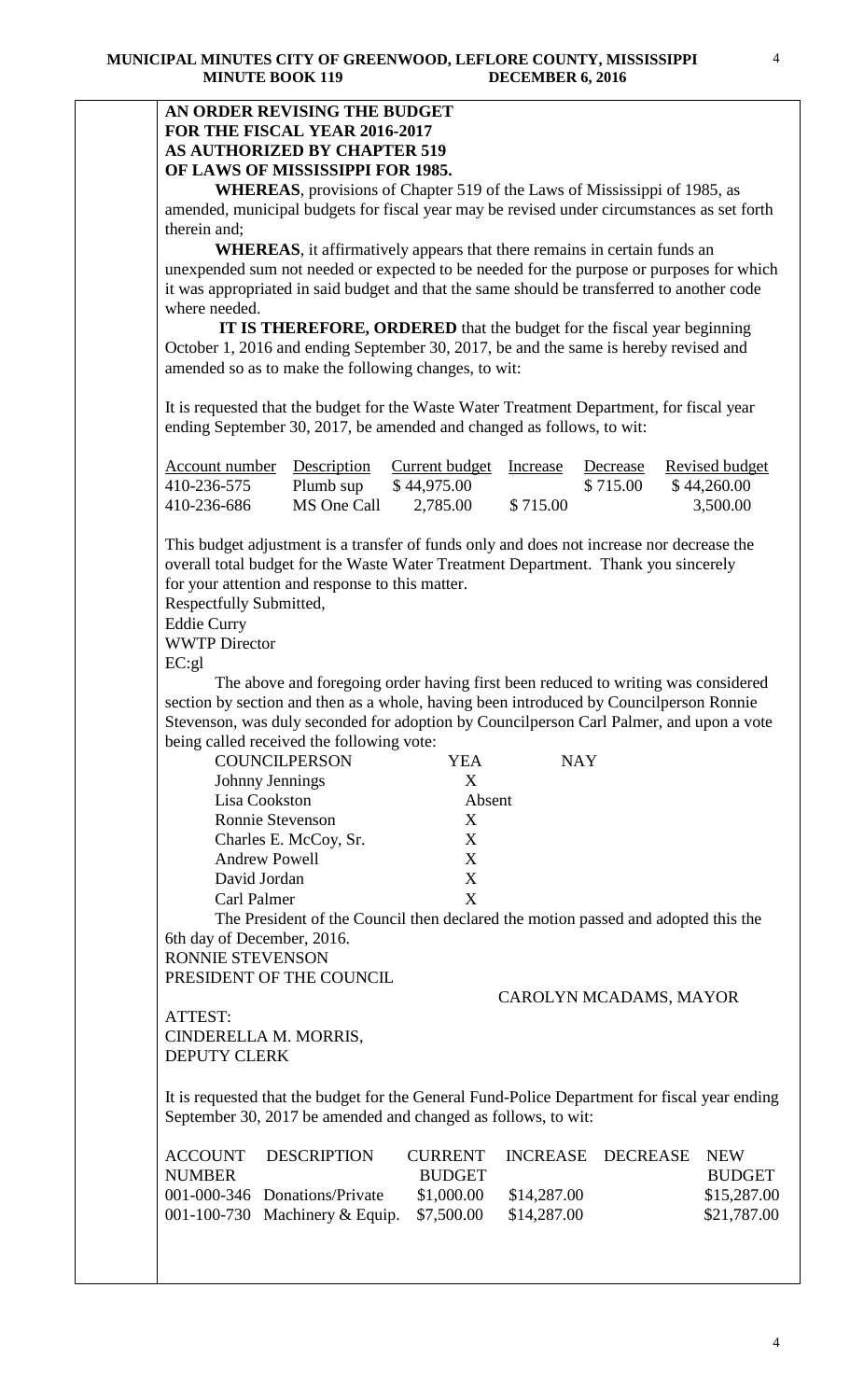# **AN ORDER REVISING THE BUDGET FOR THE FISCAL YEAR 2016-2017 AS AUTHORIZED BY CHAPTER 519 OF LAWS OF MISSISSIPPI FOR 1985.**

**WHEREAS**, provisions of Chapter 519 of the Laws of Mississippi of 1985, as amended, municipal budgets for fiscal year may be revised under circumstances as set forth therein and;

**WHEREAS**, it affirmatively appears that there remains in certain funds an unexpended sum not needed or expected to be needed for the purpose or purposes for which it was appropriated in said budget and that the same should be transferred to another code where needed.

 **IT IS THEREFORE, ORDERED** that the budget for the fiscal year beginning October 1, 2016 and ending September 30, 2017, be and the same is hereby revised and amended so as to make the following changes, to wit:

It is requested that the budget for the Waste Water Treatment Department, for fiscal year ending September 30, 2017, be amended and changed as follows, to wit:

| Account number Description Current budget Increase |             |             |          | Decrease | Revised budget |
|----------------------------------------------------|-------------|-------------|----------|----------|----------------|
| 410-236-575                                        | Plumb sup   | \$44,975.00 |          | \$715.00 | \$44,260.00    |
| 410-236-686                                        | MS One Call | 2,785.00    | \$715.00 |          | 3,500.00       |

This budget adjustment is a transfer of funds only and does not increase nor decrease the overall total budget for the Waste Water Treatment Department. Thank you sincerely for your attention and response to this matter.

Respectfully Submitted,

Eddie Curry

WWTP Director

EC:gl

The above and foregoing order having first been reduced to writing was considered section by section and then as a whole, having been introduced by Councilperson Ronnie Stevenson, was duly seconded for adoption by Councilperson Carl Palmer, and upon a vote being called received the following vote:

| <b>COUNCILPERSON</b>  | YEA    | <b>NAY</b> |
|-----------------------|--------|------------|
| Johnny Jennings       | X      |            |
| Lisa Cookston         | Absent |            |
| Ronnie Stevenson      | X      |            |
| Charles E. McCoy, Sr. | X      |            |
| <b>Andrew Powell</b>  | X      |            |
| David Jordan          | X      |            |
| Carl Palmer           | X      |            |
|                       |        |            |

The President of the Council then declared the motion passed and adopted this the 6th day of December, 2016.

RONNIE STEVENSON PRESIDENT OF THE COUNCIL

#### CAROLYN MCADAMS, MAYOR

ATTEST: CINDERELLA M. MORRIS, DEPUTY CLERK

It is requested that the budget for the General Fund-Police Department for fiscal year ending September 30, 2017 be amended and changed as follows, to wit:

|               | ACCOUNT DESCRIPTION                       |               |             | CURRENT INCREASE DECREASE NEW |               |
|---------------|-------------------------------------------|---------------|-------------|-------------------------------|---------------|
| <b>NUMBER</b> |                                           | <b>BUDGET</b> |             |                               | <b>BUDGET</b> |
|               | 001-000-346 Donations/Private             | \$1,000.00    | \$14,287.00 |                               | \$15,287.00   |
|               | 001-100-730 Machinery & Equip. \$7,500.00 |               | \$14,287.00 |                               | \$21,787.00   |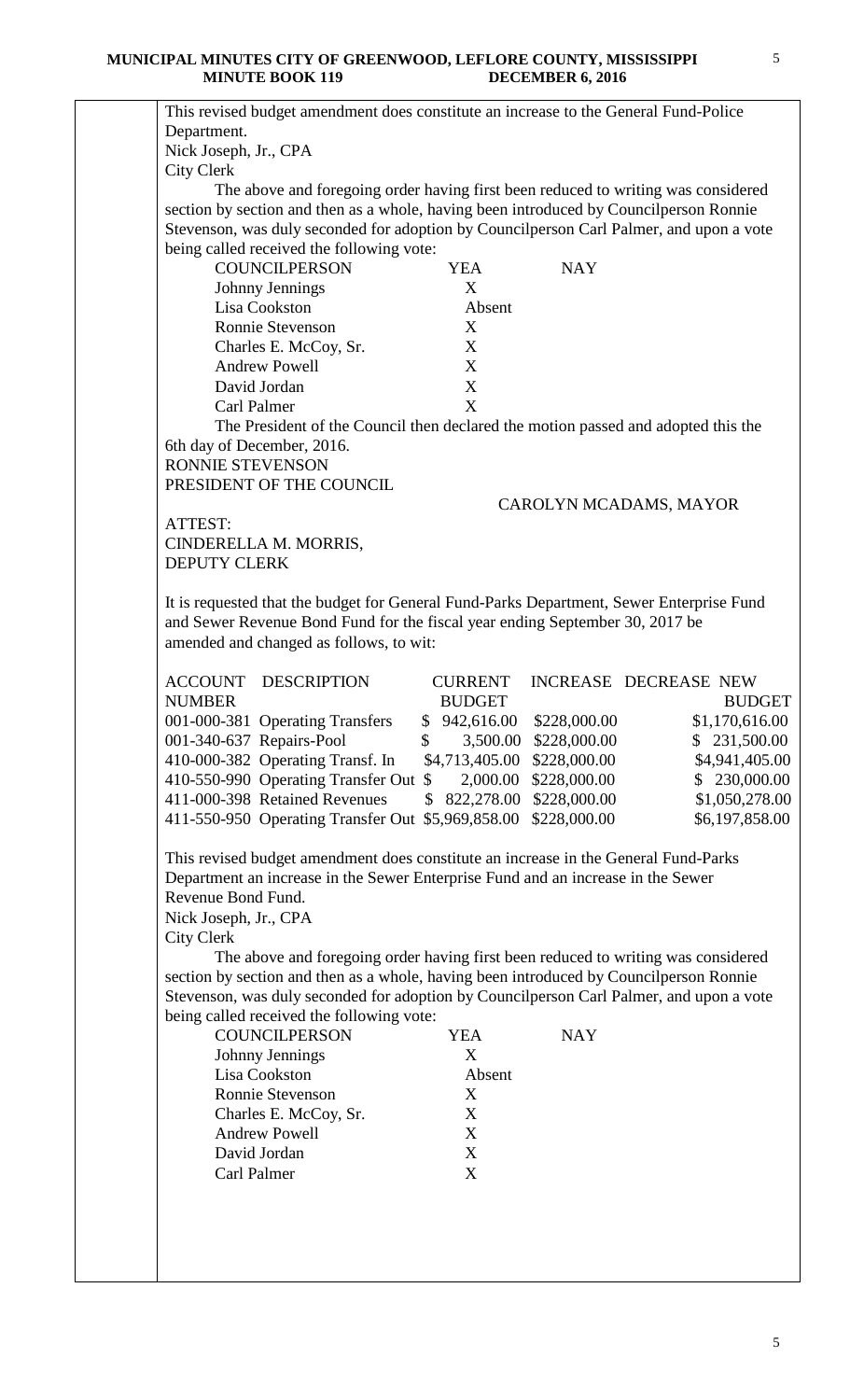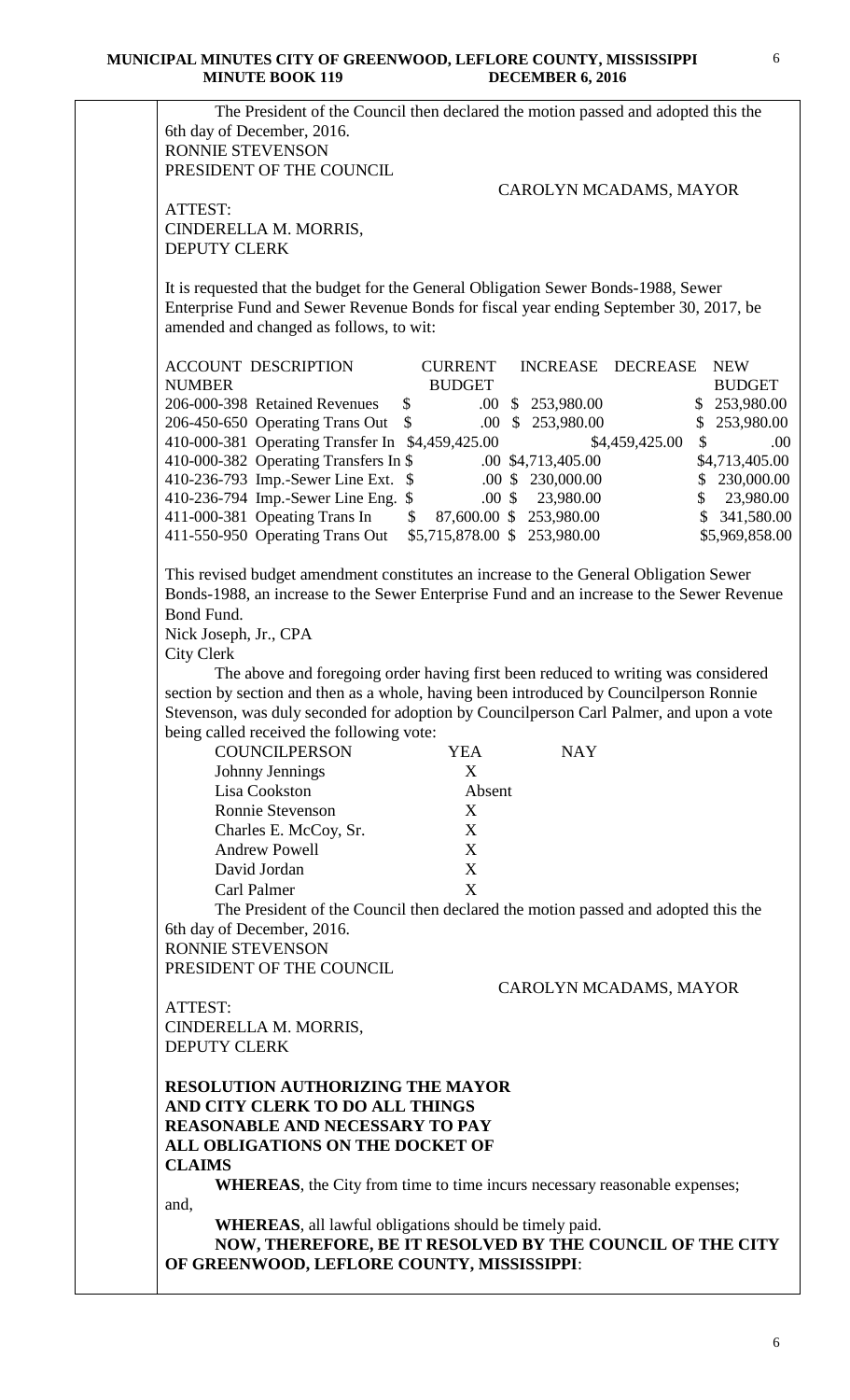| The President of the Council then declared the motion passed and adopted this the<br>6th day of December, 2016. |                             |                             |                      |
|-----------------------------------------------------------------------------------------------------------------|-----------------------------|-----------------------------|----------------------|
| RONNIE STEVENSON                                                                                                |                             |                             |                      |
| PRESIDENT OF THE COUNCIL                                                                                        |                             |                             |                      |
|                                                                                                                 |                             | CAROLYN MCADAMS, MAYOR      |                      |
| ATTEST:                                                                                                         |                             |                             |                      |
| CINDERELLA M. MORRIS,                                                                                           |                             |                             |                      |
| <b>DEPUTY CLERK</b>                                                                                             |                             |                             |                      |
| It is requested that the budget for the General Obligation Sewer Bonds-1988, Sewer                              |                             |                             |                      |
| Enterprise Fund and Sewer Revenue Bonds for fiscal year ending September 30, 2017, be                           |                             |                             |                      |
| amended and changed as follows, to wit:                                                                         |                             |                             |                      |
|                                                                                                                 |                             |                             |                      |
| <b>ACCOUNT DESCRIPTION</b>                                                                                      | <b>CURRENT</b>              | INCREASE DECREASE           | <b>NEW</b>           |
| <b>NUMBER</b>                                                                                                   | <b>BUDGET</b>               |                             | <b>BUDGET</b>        |
| 206-000-398 Retained Revenues                                                                                   | $\sim$                      | $.00 \& 253,980.00$         | \$253,980.00         |
| 206-450-650 Operating Trans Out                                                                                 | $\sim$                      | .00 \$ 253,980.00           | \$253,980.00         |
| 410-000-381 Operating Transfer In \$4,459,425.00                                                                |                             | \$4,459,425.00              | $\mathcal{S}$<br>.00 |
| 410-000-382 Operating Transfers In \$                                                                           |                             | .00 \$4,713,405.00          | \$4,713,405.00       |
| 410-236-793 Imp.-Sewer Line Ext. \$                                                                             |                             | $.00 \$ 230,000.00$         | \$230,000.00         |
| 410-236-794 Imp.-Sewer Line Eng. \$                                                                             |                             | $.00 \text{ }$ \$ 23,980.00 | \$23,980.00          |
| 411-000-381 Opeating Trans In                                                                                   | $$87,600.00 \ $253,980.00$  |                             | \$ 341,580.00        |
| 411-550-950 Operating Trans Out                                                                                 | \$5,715,878.00 \$253,980.00 |                             | \$5,969,858.00       |
|                                                                                                                 |                             |                             |                      |
| This revised budget amendment constitutes an increase to the General Obligation Sewer                           |                             |                             |                      |
| Bonds-1988, an increase to the Sewer Enterprise Fund and an increase to the Sewer Revenue                       |                             |                             |                      |
| Bond Fund.                                                                                                      |                             |                             |                      |
| Nick Joseph, Jr., CPA                                                                                           |                             |                             |                      |
| <b>City Clerk</b>                                                                                               |                             |                             |                      |
| The above and foregoing order having first been reduced to writing was considered                               |                             |                             |                      |
| section by section and then as a whole, having been introduced by Councilperson Ronnie                          |                             |                             |                      |
| Stevenson, was duly seconded for adoption by Councilperson Carl Palmer, and upon a vote                         |                             |                             |                      |
| being called received the following vote:<br><b>COUNCILPERSON</b>                                               | <b>YEA</b>                  | <b>NAY</b>                  |                      |
|                                                                                                                 | X                           |                             |                      |
| Johnny Jennings<br>Lisa Cookston                                                                                | Absent                      |                             |                      |
| <b>Ronnie Stevenson</b>                                                                                         |                             |                             |                      |
|                                                                                                                 | X                           |                             |                      |
| Charles E. McCoy, Sr.                                                                                           | X                           |                             |                      |
| <b>Andrew Powell</b>                                                                                            | X                           |                             |                      |
| David Jordan                                                                                                    | X                           |                             |                      |
| Carl Palmer                                                                                                     | X                           |                             |                      |
| The President of the Council then declared the motion passed and adopted this the                               |                             |                             |                      |
| 6th day of December, 2016.                                                                                      |                             |                             |                      |
| RONNIE STEVENSON                                                                                                |                             |                             |                      |
| PRESIDENT OF THE COUNCIL                                                                                        |                             |                             |                      |
|                                                                                                                 |                             | CAROLYN MCADAMS, MAYOR      |                      |
| ATTEST:                                                                                                         |                             |                             |                      |
| CINDERELLA M. MORRIS,                                                                                           |                             |                             |                      |
| <b>DEPUTY CLERK</b>                                                                                             |                             |                             |                      |
|                                                                                                                 |                             |                             |                      |
| <b>RESOLUTION AUTHORIZING THE MAYOR</b>                                                                         |                             |                             |                      |
| AND CITY CLERK TO DO ALL THINGS                                                                                 |                             |                             |                      |
| <b>REASONABLE AND NECESSARY TO PAY</b>                                                                          |                             |                             |                      |
| ALL OBLIGATIONS ON THE DOCKET OF                                                                                |                             |                             |                      |
| <b>CLAIMS</b>                                                                                                   |                             |                             |                      |
| WHEREAS, the City from time to time incurs necessary reasonable expenses;                                       |                             |                             |                      |
| and,                                                                                                            |                             |                             |                      |
| <b>WHEREAS</b> , all lawful obligations should be timely paid.                                                  |                             |                             |                      |
| NOW, THEREFORE, BE IT RESOLVED BY THE COUNCIL OF THE CITY                                                       |                             |                             |                      |
| OF GREENWOOD, LEFLORE COUNTY, MISSISSIPPI:                                                                      |                             |                             |                      |
|                                                                                                                 |                             |                             |                      |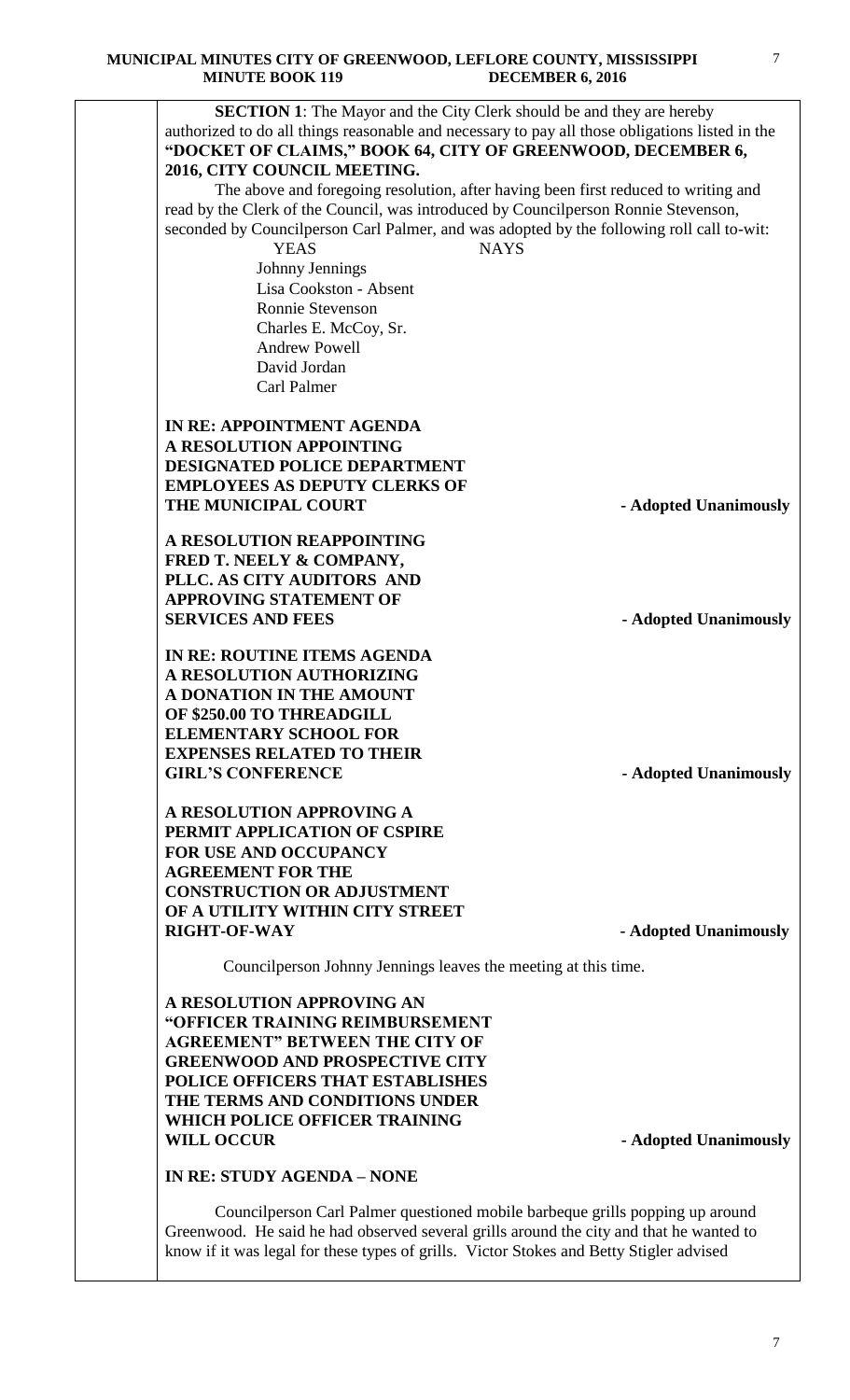

Councilperson Carl Palmer questioned mobile barbeque grills popping up around Greenwood. He said he had observed several grills around the city and that he wanted to know if it was legal for these types of grills. Victor Stokes and Betty Stigler advised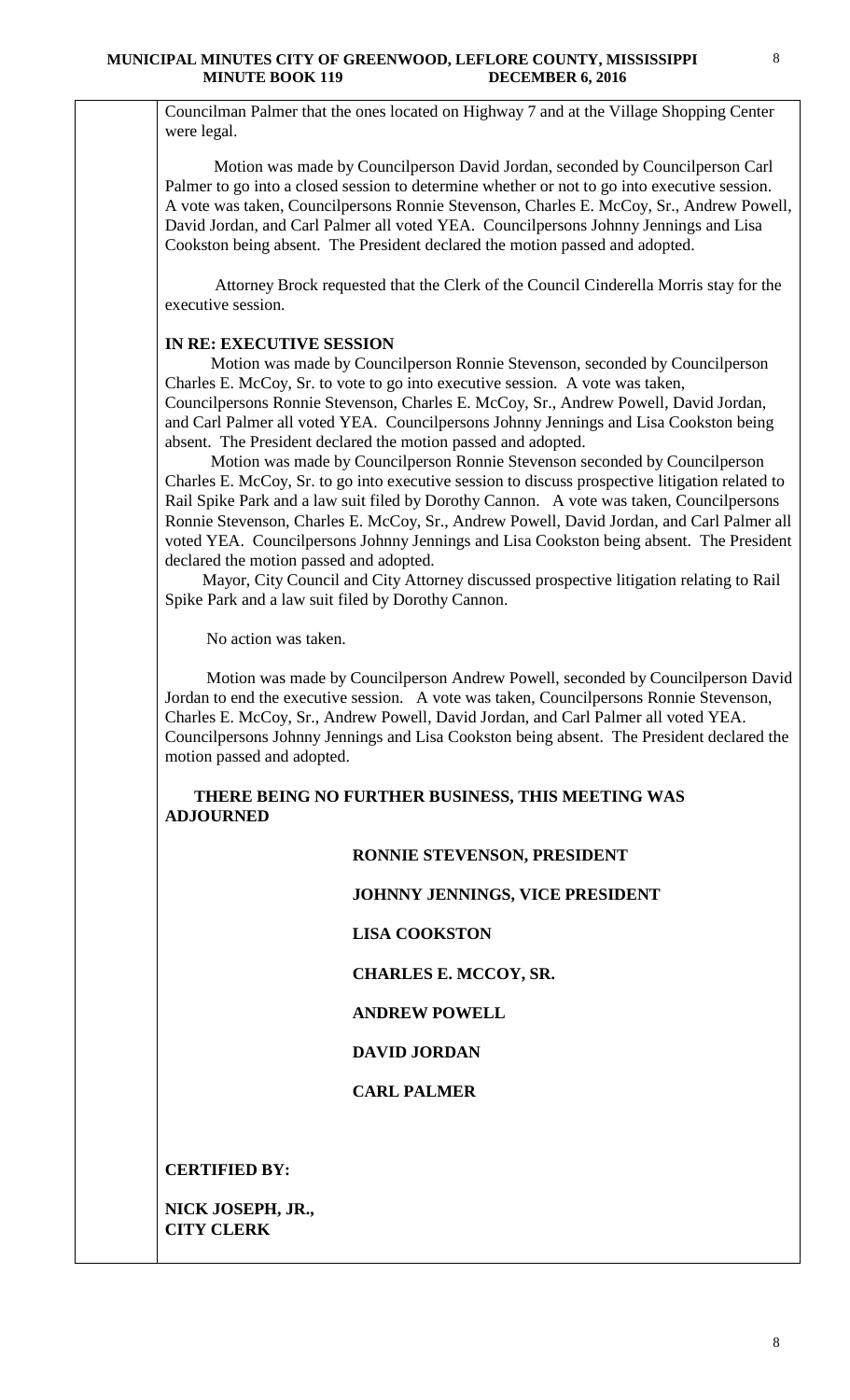Councilman Palmer that the ones located on Highway 7 and at the Village Shopping Center were legal.

 Motion was made by Councilperson David Jordan, seconded by Councilperson Carl Palmer to go into a closed session to determine whether or not to go into executive session. A vote was taken, Councilpersons Ronnie Stevenson, Charles E. McCoy, Sr., Andrew Powell, David Jordan, and Carl Palmer all voted YEA. Councilpersons Johnny Jennings and Lisa Cookston being absent. The President declared the motion passed and adopted.

 Attorney Brock requested that the Clerk of the Council Cinderella Morris stay for the executive session.

## **IN RE: EXECUTIVE SESSION**

 Motion was made by Councilperson Ronnie Stevenson, seconded by Councilperson Charles E. McCoy, Sr. to vote to go into executive session. A vote was taken, Councilpersons Ronnie Stevenson, Charles E. McCoy, Sr., Andrew Powell, David Jordan, and Carl Palmer all voted YEA. Councilpersons Johnny Jennings and Lisa Cookston being absent. The President declared the motion passed and adopted.

 Motion was made by Councilperson Ronnie Stevenson seconded by Councilperson Charles E. McCoy, Sr. to go into executive session to discuss prospective litigation related to Rail Spike Park and a law suit filed by Dorothy Cannon. A vote was taken, Councilpersons Ronnie Stevenson, Charles E. McCoy, Sr., Andrew Powell, David Jordan, and Carl Palmer all voted YEA. Councilpersons Johnny Jennings and Lisa Cookston being absent. The President declared the motion passed and adopted.

 Mayor, City Council and City Attorney discussed prospective litigation relating to Rail Spike Park and a law suit filed by Dorothy Cannon.

No action was taken.

 Motion was made by Councilperson Andrew Powell, seconded by Councilperson David Jordan to end the executive session. A vote was taken, Councilpersons Ronnie Stevenson, Charles E. McCoy, Sr., Andrew Powell, David Jordan, and Carl Palmer all voted YEA. Councilpersons Johnny Jennings and Lisa Cookston being absent. The President declared the motion passed and adopted.

## **THERE BEING NO FURTHER BUSINESS, THIS MEETING WAS ADJOURNED**

## **RONNIE STEVENSON, PRESIDENT**

#### **JOHNNY JENNINGS, VICE PRESIDENT**

#### **LISA COOKSTON**

 **CHARLES E. MCCOY, SR.** 

#### **ANDREW POWELL**

## **DAVID JORDAN**

### **CARL PALMER**

#### **CERTIFIED BY:**

**NICK JOSEPH, JR., CITY CLERK**